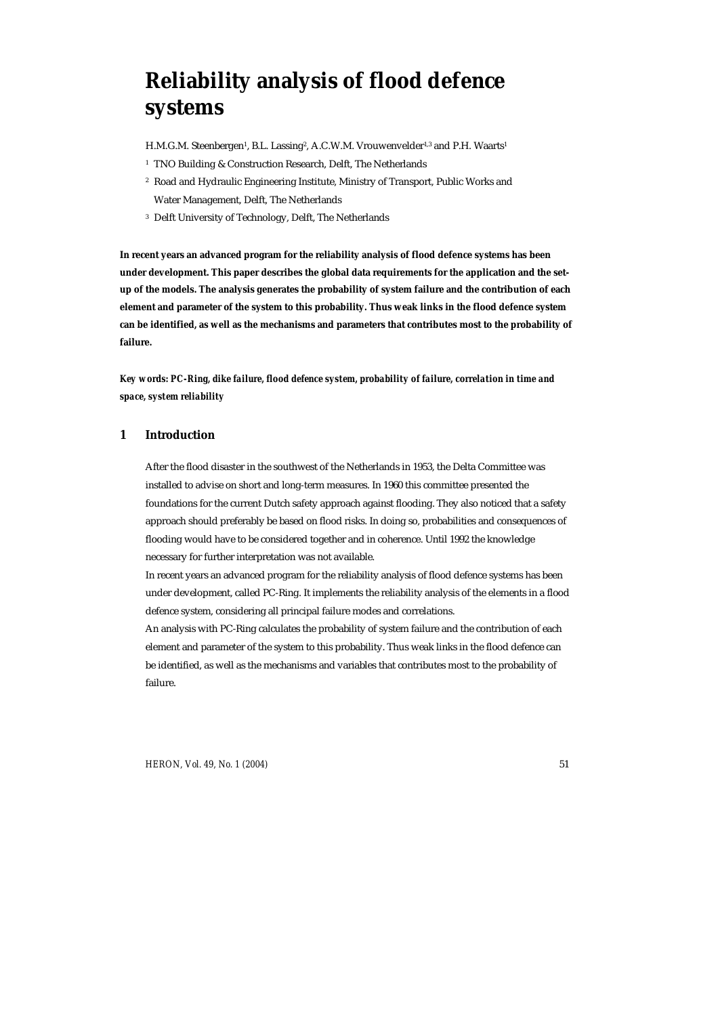# **Reliability analysis of flood defence systems**

H.M.G.M. Steenbergen<sup>1</sup>, B.L. Lassing<sup>2</sup>, A.C.W.M. Vrouwenvelder<sup>1,3</sup> and P.H. Waarts<sup>1</sup>

- <sup>1</sup> TNO Building & Construction Research, Delft, The Netherlands
- 2 Road and Hydraulic Engineering Institute, Ministry of Transport, Public Works and Water Management, Delft, The Netherlands
- 3 Delft University of Technology, Delft, The Netherlands

**In recent years an advanced program for the reliability analysis of flood defence systems has been under development. This paper describes the global data requirements for the application and the setup of the models. The analysis generates the probability of system failure and the contribution of each element and parameter of the system to this probability. Thus weak links in the flood defence system can be identified, as well as the mechanisms and parameters that contributes most to the probability of failure.** 

*Key words: PC-Ring, dike failure, flood defence system, probability of failure, correlation in time and space, system reliability* 

# **1 Introduction**

After the flood disaster in the southwest of the Netherlands in 1953, the Delta Committee was installed to advise on short and long-term measures. In 1960 this committee presented the foundations for the current Dutch safety approach against flooding. They also noticed that a safety approach should preferably be based on flood risks. In doing so, probabilities and consequences of flooding would have to be considered together and in coherence. Until 1992 the knowledge necessary for further interpretation was not available.

In recent years an advanced program for the reliability analysis of flood defence systems has been under development, called PC-Ring. It implements the reliability analysis of the elements in a flood defence system, considering all principal failure modes and correlations.

An analysis with PC-Ring calculates the probability of system failure and the contribution of each element and parameter of the system to this probability. Thus weak links in the flood defence can be identified, as well as the mechanisms and variables that contributes most to the probability of failure.

*HERON, Vol. 49, No. 1 (2004)* 51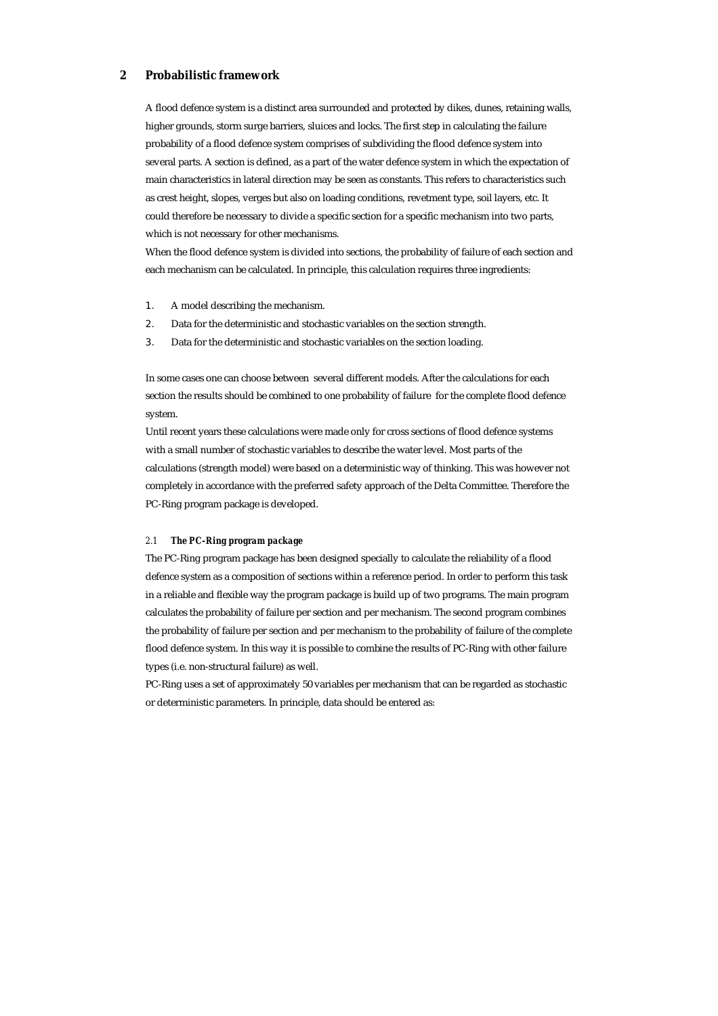# **2 Probabilistic framework**

A flood defence system is a distinct area surrounded and protected by dikes, dunes, retaining walls, higher grounds, storm surge barriers, sluices and locks. The first step in calculating the failure probability of a flood defence system comprises of subdividing the flood defence system into several parts. A section is defined, as a part of the water defence system in which the expectation of main characteristics in lateral direction may be seen as constants. This refers to characteristics such as crest height, slopes, verges but also on loading conditions, revetment type, soil layers, etc. It could therefore be necessary to divide a specific section for a specific mechanism into two parts, which is not necessary for other mechanisms.

When the flood defence system is divided into sections, the probability of failure of each section and each mechanism can be calculated. In principle, this calculation requires three ingredients:

- 1. A model describing the mechanism.
- 2. Data for the deterministic and stochastic variables on the section strength.
- 3. Data for the deterministic and stochastic variables on the section loading.

In some cases one can choose between several different models. After the calculations for each section the results should be combined to one probability of failure for the complete flood defence system.

Until recent years these calculations were made only for cross sections of flood defence systems with a small number of stochastic variables to describe the water level. Most parts of the calculations (strength model) were based on a deterministic way of thinking. This was however not completely in accordance with the preferred safety approach of the Delta Committee. Therefore the PC-Ring program package is developed.

#### *2.1 The PC-Ring program package*

The PC-Ring program package has been designed specially to calculate the reliability of a flood defence system as a composition of sections within a reference period. In order to perform this task in a reliable and flexible way the program package is build up of two programs. The main program calculates the probability of failure per section and per mechanism. The second program combines the probability of failure per section and per mechanism to the probability of failure of the complete flood defence system. In this way it is possible to combine the results of PC-Ring with other failure types (i.e. non-structural failure) as well.

PC-Ring uses a set of approximately 50 variables per mechanism that can be regarded as stochastic or deterministic parameters. In principle, data should be entered as: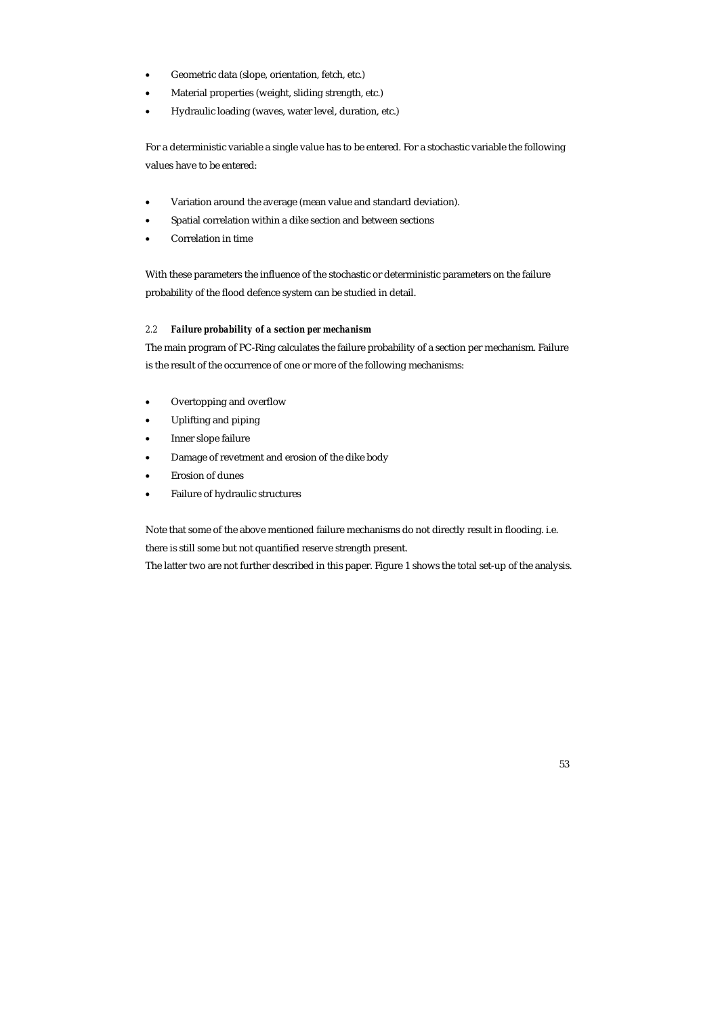- Geometric data (slope, orientation, fetch, etc.)
- Material properties (weight, sliding strength, etc.)
- Hydraulic loading (waves, water level, duration, etc.)

For a deterministic variable a single value has to be entered. For a stochastic variable the following values have to be entered:

- Variation around the average (mean value and standard deviation).
- Spatial correlation within a dike section and between sections
- Correlation in time

With these parameters the influence of the stochastic or deterministic parameters on the failure probability of the flood defence system can be studied in detail.

## *2.2 Failure probability of a section per mechanism*

The main program of PC-Ring calculates the failure probability of a section per mechanism. Failure is the result of the occurrence of one or more of the following mechanisms:

- Overtopping and overflow
- Uplifting and piping
- Inner slope failure
- Damage of revetment and erosion of the dike body
- Erosion of dunes
- Failure of hydraulic structures

Note that some of the above mentioned failure mechanisms do not directly result in flooding. i.e. there is still some but not quantified reserve strength present.

The latter two are not further described in this paper. Figure 1 shows the total set-up of the analysis.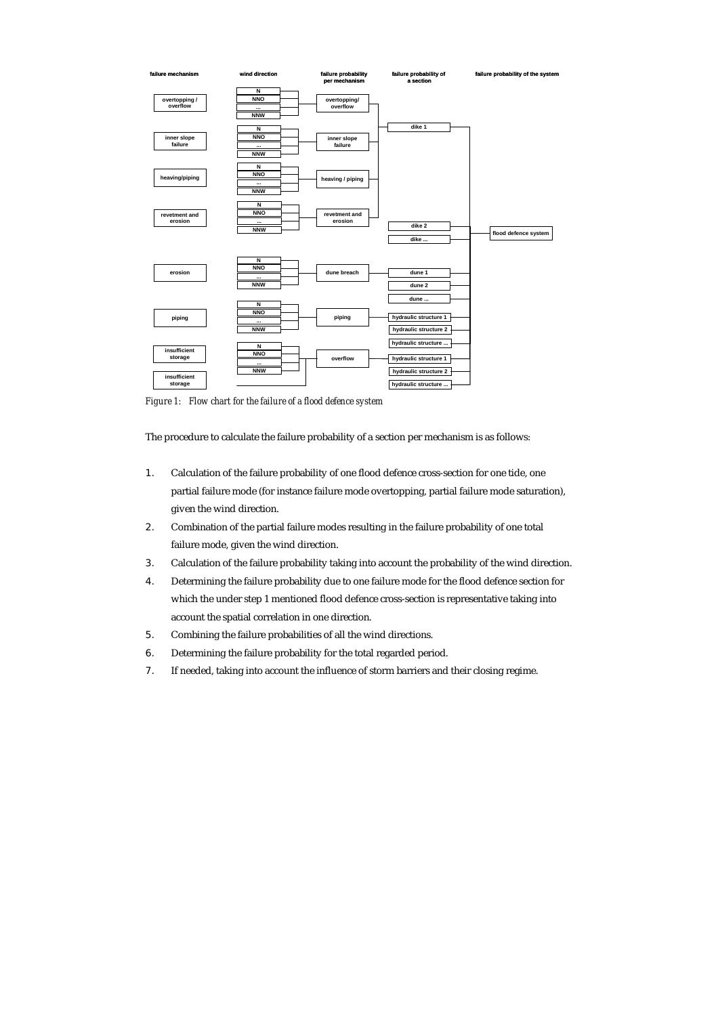

*Figure 1: Flow chart for the failure of a flood defence system* 

The procedure to calculate the failure probability of a section per mechanism is as follows:

- 1. Calculation of the failure probability of one flood defence cross-section for one tide, one partial failure mode (for instance failure mode overtopping, partial failure mode saturation), given the wind direction.
- 2. Combination of the partial failure modes resulting in the failure probability of one total failure mode, given the wind direction.
- 3. Calculation of the failure probability taking into account the probability of the wind direction.
- 4. Determining the failure probability due to one failure mode for the flood defence section for which the under step 1 mentioned flood defence cross-section is representative taking into account the spatial correlation in one direction.
- 5. Combining the failure probabilities of all the wind directions.
- 6. Determining the failure probability for the total regarded period.
- 7. If needed, taking into account the influence of storm barriers and their closing regime.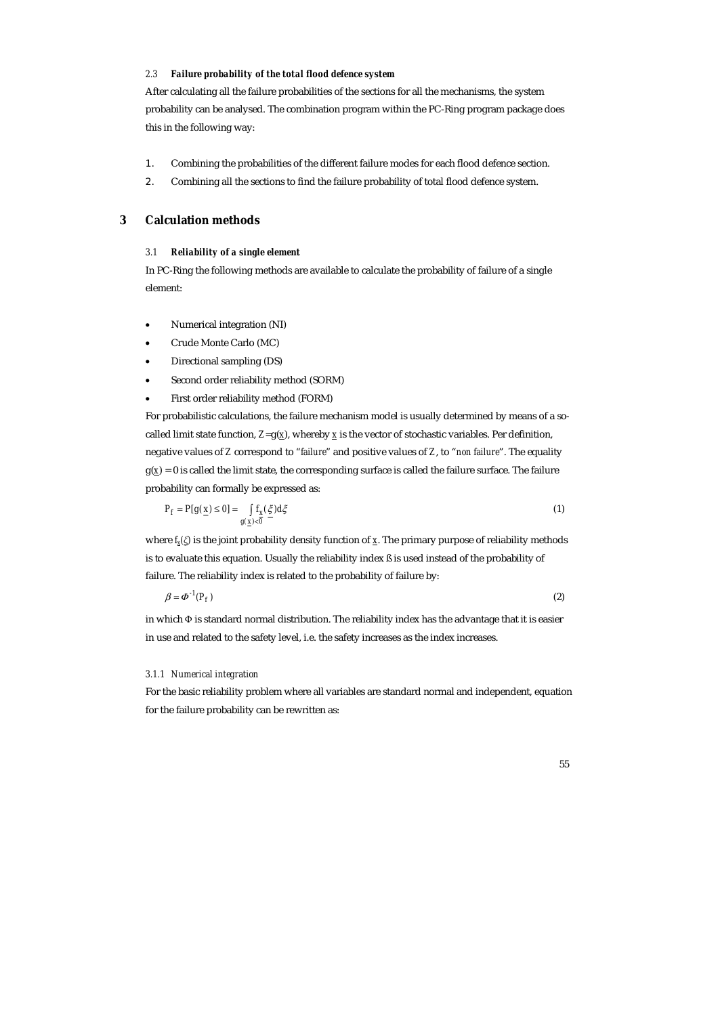#### *2.3 Failure probability of the total flood defence system*

After calculating all the failure probabilities of the sections for all the mechanisms, the system probability can be analysed. The combination program within the PC-Ring program package does this in the following way:

- 1. Combining the probabilities of the different failure modes for each flood defence section.
- 2. Combining all the sections to find the failure probability of total flood defence system.

# **3 Calculation methods**

## *3.1 Reliability of a single element*

In PC-Ring the following methods are available to calculate the probability of failure of a single element:

- Numerical integration (NI)
- Crude Monte Carlo (MC)
- Directional sampling (DS)
- Second order reliability method (SORM)
- First order reliability method (FORM)

For probabilistic calculations, the failure mechanism model is usually determined by means of a socalled limit state function,  $Z = g(x)$ , whereby  $\overline{x}$  is the vector of stochastic variables. Per definition, negative values of *Z* correspond to "*failure*" and positive values of *Z*, to "*non failure*". The equality  $g(x) = 0$  is called the limit state, the corresponding surface is called the failure surface. The failure probability can formally be expressed as:

$$
P_f = P[g(\underline{x}) \le 0] = \int_{g(\underline{x}) < \overline{0}} f_{\underline{x}}(\xi) d\xi \tag{1}
$$

where *fx(ξ)* is the joint probability density function of *x*. The primary purpose of reliability methods is to evaluate this equation. Usually the reliability index ß is used instead of the probability of failure. The reliability index is related to the probability of failure by:

 $\beta = \Phi^{-1}(P_f)$  (2)

in which Φ is standard normal distribution. The reliability index has the advantage that it is easier in use and related to the safety level, i.e. the safety increases as the index increases.

#### *3.1.1 Numerical integration*

For the basic reliability problem where all variables are standard normal and independent, equation for the failure probability can be rewritten as: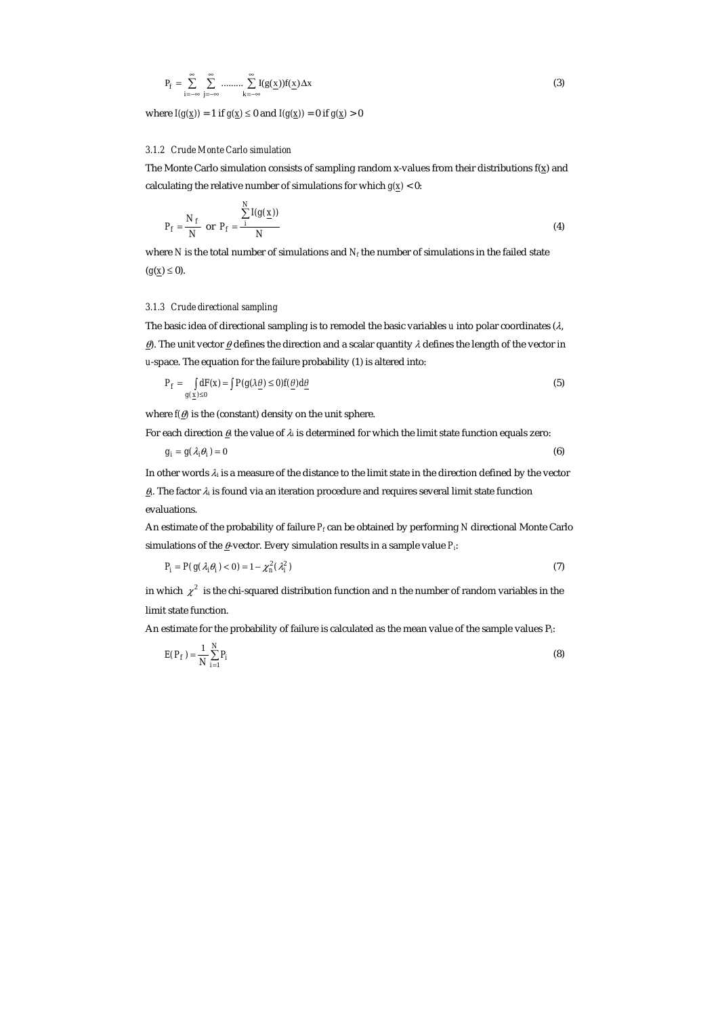$$
P_f = \sum_{i=-\infty}^{\infty} \sum_{j=-\infty}^{\infty} \dots \dots \sum_{k=-\infty}^{\infty} I(g(\underline{x})) f(\underline{x}) \Delta x
$$
 (3)

where  $I(g(\underline{x})) = 1$  if  $g(\underline{x}) \le 0$  and  $I(g(\underline{x})) = 0$  if  $g(\underline{x}) > 0$ 

## *3.1.2 Crude Monte Carlo simulation*

The Monte Carlo simulation consists of sampling random x-values from their distributions  $f(x)$  and calculating the relative number of simulations for which  $g(x) < 0$ :

$$
P_f = \frac{N_f}{N} \text{ or } P_f = \frac{\sum_{i=1}^{N} I(g(\underline{x}))}{N}
$$
 (4)

where *N* is the total number of simulations and *N<sub>f</sub>* the number of simulations in the failed state  $(g(x) \le 0)$ .

## *3.1.3 Crude directional sampling*

The basic idea of directional sampling is to remodel the basic variables *u* into polar coordinates (λ,  $\theta$ . The unit vector  $\theta$  defines the direction and a scalar quantity λ defines the length of the vector in *u*-space. The equation for the failure probability (1) is altered into:

$$
P_f = \int_{g(x)\leq 0} dF(x) = \int P(g \triangle \underline{\theta}) \leq 0 f(\underline{\theta}) d\underline{\theta}
$$
\n(5)

where  $f(\theta)$  is the (constant) density on the unit sphere.

For each direction  $\theta_i$  the value of  $\lambda_i$  is determined for which the limit state function equals zero:

$$
g_i = g(\lambda_i \theta_i) = 0 \tag{6}
$$

In other words λi is a measure of the distance to the limit state in the direction defined by the vector  $\underline{\theta}$ . The factor  $\lambda_i$  is found via an iteration procedure and requires several limit state function evaluations.

An estimate of the probability of failure *Pf* can be obtained by performing *N* directional Monte Carlo simulations of the  $\underline{\theta}$ -vector. Every simulation results in a sample value  $P_i$ :

$$
P_i = P(g(\lambda_i \theta_i) < 0) = 1 - \chi_n^2(\lambda_i^2) \tag{7}
$$

in which  $\chi^2$  is the chi-squared distribution function and n the number of random variables in the limit state function.

An estimate for the probability of failure is calculated as the mean value of the sample values Pi:

$$
E(P_f) = \frac{1}{N} \sum_{i=1}^{N} P_i
$$
\n
$$
(8)
$$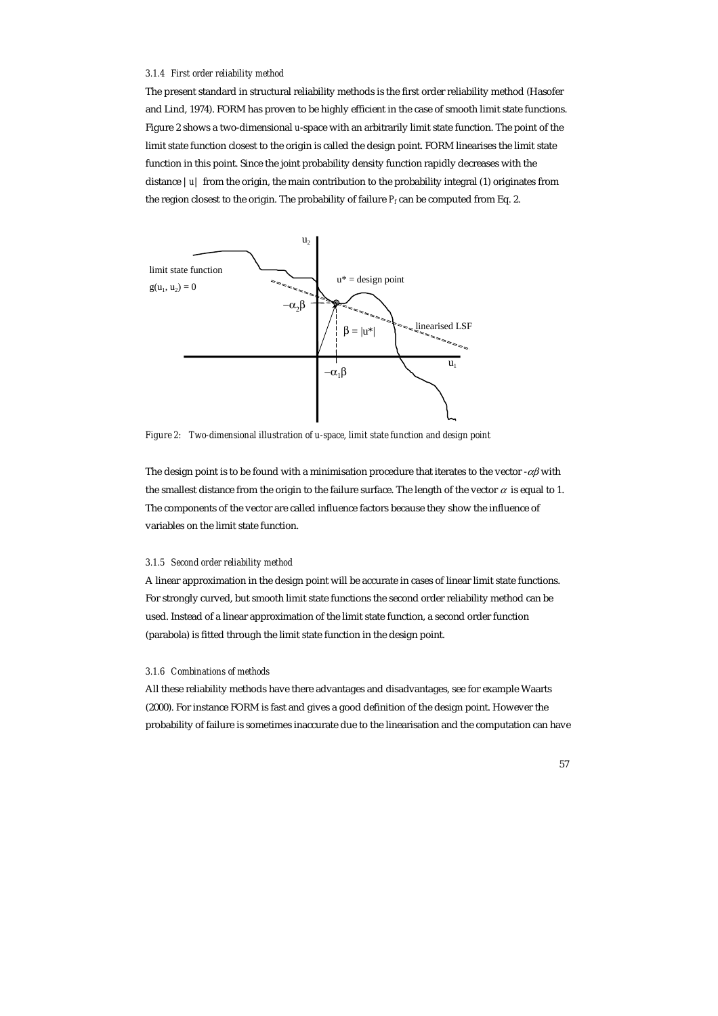#### *3.1.4 First order reliability method*

The present standard in structural reliability methods is the first order reliability method (Hasofer and Lind, 1974). FORM has proven to be highly efficient in the case of smooth limit state functions. Figure 2 shows a two-dimensional *u*-space with an arbitrarily limit state function. The point of the limit state function closest to the origin is called the design point. FORM linearises the limit state function in this point. Since the joint probability density function rapidly decreases with the distance |*u*| from the origin, the main contribution to the probability integral (1) originates from the region closest to the origin. The probability of failure  $P_f$  can be computed from Eq. 2.



*Figure 2: Two-dimensional illustration of u-space, limit state function and design point* 

The design point is to be found with a minimisation procedure that iterates to the vector  $-\alpha\beta$  with the smallest distance from the origin to the failure surface. The length of the vector  $\alpha$  is equal to 1. The components of the vector are called influence factors because they show the influence of variables on the limit state function.

## *3.1.5 Second order reliability method*

A linear approximation in the design point will be accurate in cases of linear limit state functions. For strongly curved, but smooth limit state functions the second order reliability method can be used. Instead of a linear approximation of the limit state function, a second order function (parabola) is fitted through the limit state function in the design point.

## *3.1.6 Combinations of methods*

All these reliability methods have there advantages and disadvantages, see for example Waarts (2000). For instance FORM is fast and gives a good definition of the design point. However the probability of failure is sometimes inaccurate due to the linearisation and the computation can have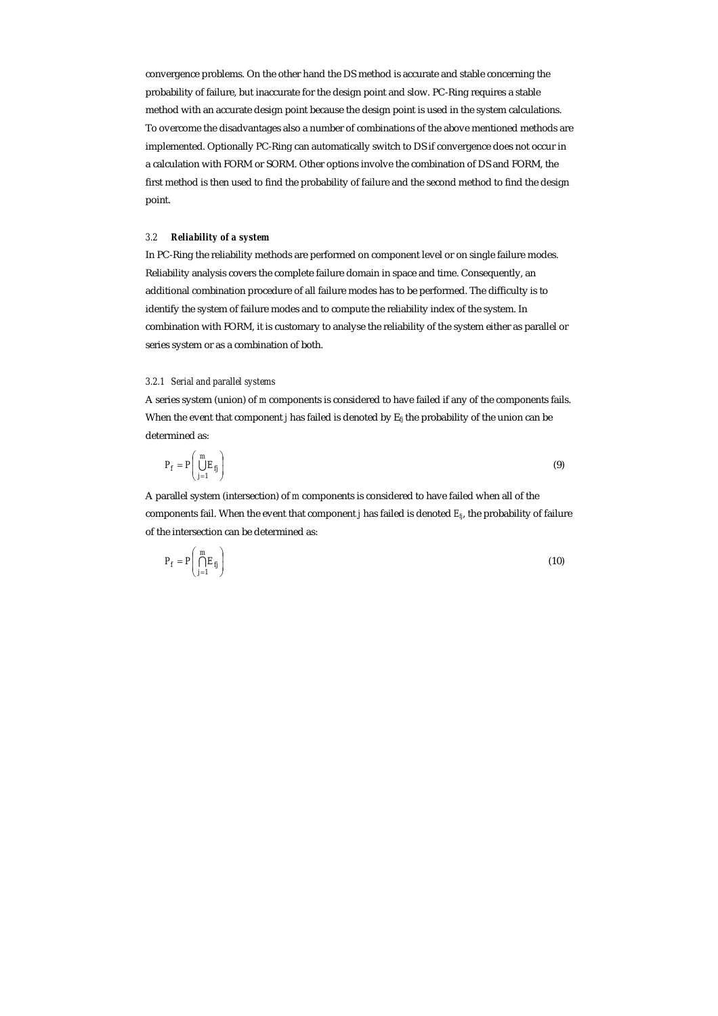convergence problems. On the other hand the DS method is accurate and stable concerning the probability of failure, but inaccurate for the design point and slow. PC-Ring requires a stable method with an accurate design point because the design point is used in the system calculations. To overcome the disadvantages also a number of combinations of the above mentioned methods are implemented. Optionally PC-Ring can automatically switch to DS if convergence does not occur in a calculation with FORM or SORM. Other options involve the combination of DS and FORM, the first method is then used to find the probability of failure and the second method to find the design point.

## *3.2 Reliability of a system*

In PC-Ring the reliability methods are performed on component level or on single failure modes. Reliability analysis covers the complete failure domain in space and time. Consequently, an additional combination procedure of all failure modes has to be performed. The difficulty is to identify the system of failure modes and to compute the reliability index of the system. In combination with FORM, it is customary to analyse the reliability of the system either as parallel or series system or as a combination of both.

## *3.2.1 Serial and parallel systems*

A series system (union) of *m* components is considered to have failed if any of the components fails. When the event that component *j* has failed is denoted by  $E_{\text{fi}}$  the probability of the union can be determined as:

$$
P_f = P\left(\bigcup_{j=1}^m E_j\right) \tag{9}
$$

A parallel system (intersection) of *m* components is considered to have failed when all of the components fail. When the event that component *j* has failed is denoted *Efj*, the probability of failure of the intersection can be determined as:

$$
P_f = P\left(\bigcap_{j=1}^m E_{f_j}\right) \tag{10}
$$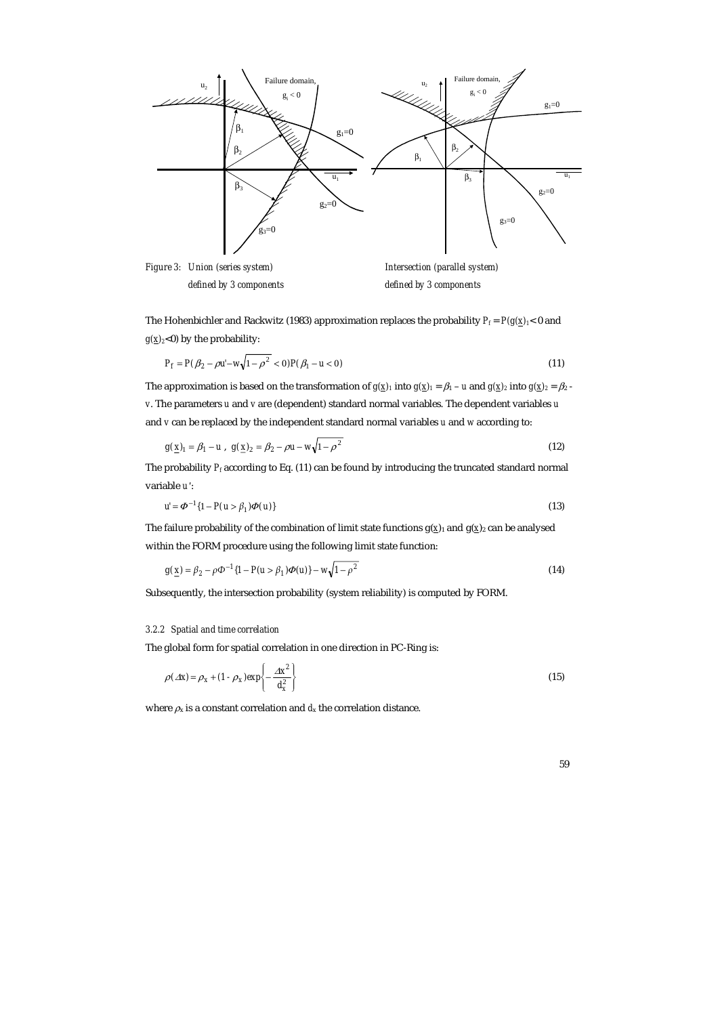

The Hohenbichler and Rackwitz (1983) approximation replaces the probability  $P_f = P(g(\underline{x})_1 < 0$  and  $g(x)_{2}$ <0) by the probability:

$$
P_f = P(\beta_2 - \rho u' - w \sqrt{1 - \rho^2} < 0) P(\beta_1 - u < 0) \tag{11}
$$

The approximation is based on the transformation of  $g(\underline{x})_1$  into  $g(\underline{x})_1 = \beta_1 - u$  and  $g(\underline{x})_2$  into  $g(\underline{x})_2 = \beta_2 - u$ *v*. The parameters *u* and *v* are (dependent) standard normal variables. The dependent variables *u* and *v* can be replaced by the independent standard normal variables *u* and *w* according to:

$$
g(\underline{x})_1 = \beta_1 - u \,, \quad g(\underline{x})_2 = \beta_2 - \rho u - w \sqrt{1 - \rho^2} \tag{12}
$$

The probability *Pf* according to Eq. (11) can be found by introducing the truncated standard normal variable *u′*:

 $u' = \Phi^{-1}{1 - P(u > \beta_1)\Phi(u)}$  (13)

The failure probability of the combination of limit state functions  $g(x)$ <sub>1</sub> and  $g(x)$ <sub>2</sub> can be analysed within the FORM procedure using the following limit state function:

$$
g(\underline{x}) = \beta_2 - \rho \Phi^{-1} \{ 1 - P(u > \beta_1) \Phi(u) \} - w \sqrt{1 - \rho^2}
$$
\n(14)

Subsequently, the intersection probability (system reliability) is computed by FORM.

#### *3.2.2 Spatial and time correlation*

The global form for spatial correlation in one direction in PC-Ring is:

$$
\rho(\Delta x) = \rho_x + (1 - \rho_x) \exp\left\{-\frac{\Delta x^2}{d_x^2}\right\} \tag{15}
$$

where  $\rho_x$  is a constant correlation and  $d_x$  the correlation distance.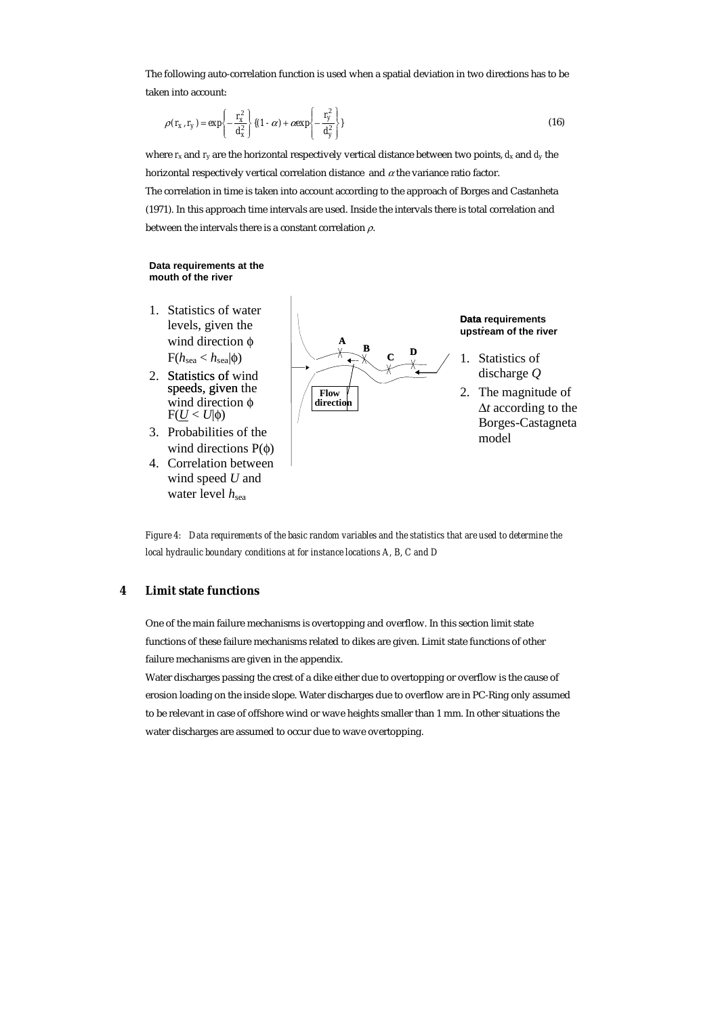The following auto-correlation function is used when a spatial deviation in two directions has to be taken into account:

$$
\rho(r_x, r_y) = \exp\left\{-\frac{r_x^2}{d_x^2}\right\} \{(1-\alpha) + \alpha \exp\left\{-\frac{r_y^2}{d_y^2}\right\} \tag{16}
$$

where  $r_x$  and  $r_y$  are the horizontal respectively vertical distance between two points,  $d_x$  and  $d_y$  the horizontal respectively vertical correlation distance and  $\alpha$  the variance ratio factor.

The correlation in time is taken into account according to the approach of Borges and Castanheta (1971). In this approach time intervals are used. Inside the intervals there is total correlation and between the intervals there is a constant correlation  $\rho$ .

#### **Data requirements at the mouth of the river**

- 1. Statistics of water levels, given the wind direction φ  $F(h_{sea} < h_{sea}|\phi)$
- 2. Statistics of wind speeds, given the  $F(\underline{U} < U | \phi)$ wind direction  $φ$
- 3. Probabilities of the wind directions  $P(φ)$
- 4. Correlation between wind speed *U* and water level  $h_{\text{sea}}$



**Data requirements i t upstream of the river**

- 1. Statistics of discharge *Q*
- 2. The magnitude of ∆*t* according to the Borges-Castagneta model

*Figure 4: Data requirements of the basic random variables and the statistics that are used to determine the local hydraulic boundary conditions at for instance locations A, B, C and D* 

# **4 Limit state functions**

One of the main failure mechanisms is overtopping and overflow. In this section limit state functions of these failure mechanisms related to dikes are given. Limit state functions of other failure mechanisms are given in the appendix.

Water discharges passing the crest of a dike either due to overtopping or overflow is the cause of erosion loading on the inside slope. Water discharges due to overflow are in PC-Ring only assumed to be relevant in case of offshore wind or wave heights smaller than 1 mm. In other situations the water discharges are assumed to occur due to wave overtopping.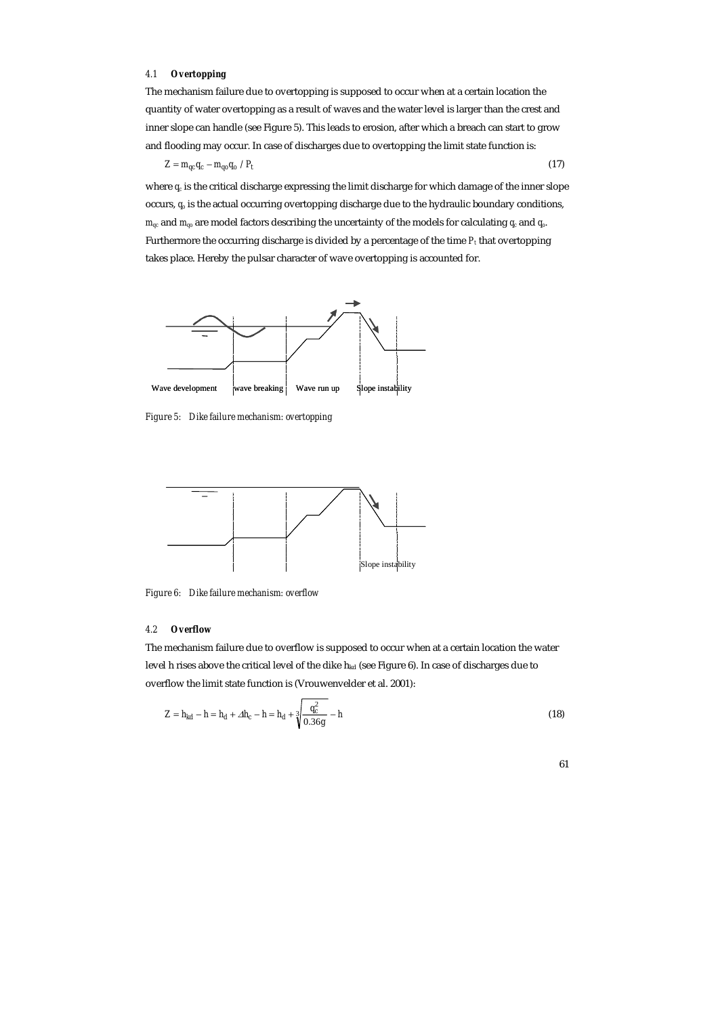# *4.1 Overtopping*

The mechanism failure due to overtopping is supposed to occur when at a certain location the quantity of water overtopping as a result of waves and the water level is larger than the crest and inner slope can handle (see Figure 5). This leads to erosion, after which a breach can start to grow and flooding may occur. In case of discharges due to overtopping the limit state function is:

 $Z = m_{qc}q_c - m_{qo}q_o / P_t$  (17)

where  $q_c$  is the critical discharge expressing the limit discharge for which damage of the inner slope occurs, *qo* is the actual occurring overtopping discharge due to the hydraulic boundary conditions, *mqc* and *mqo* are model factors describing the uncertainty of the models for calculating *qc* and *qo*. Furthermore the occurring discharge is divided by a percentage of the time  $P_t$  that overtopping takes place. Hereby the pulsar character of wave overtopping is accounted for.



*Figure 5: Dike failure mechanism: overtopping* 



*Figure 6: Dike failure mechanism: overflow* 

## *4.2 Overflow*

The mechanism failure due to overflow is supposed to occur when at a certain location the water level h rises above the critical level of the dike h<sub>kd</sub> (see Figure 6). In case of discharges due to overflow the limit state function is (Vrouwenvelder et al. 2001):

$$
Z = h_{kd} - h = h_d + \Delta h_c - h = h_d + \sqrt[3]{\frac{q_c^2}{0.36g}} - h
$$
\n(18)

| ×<br>۹ | I |
|--------|---|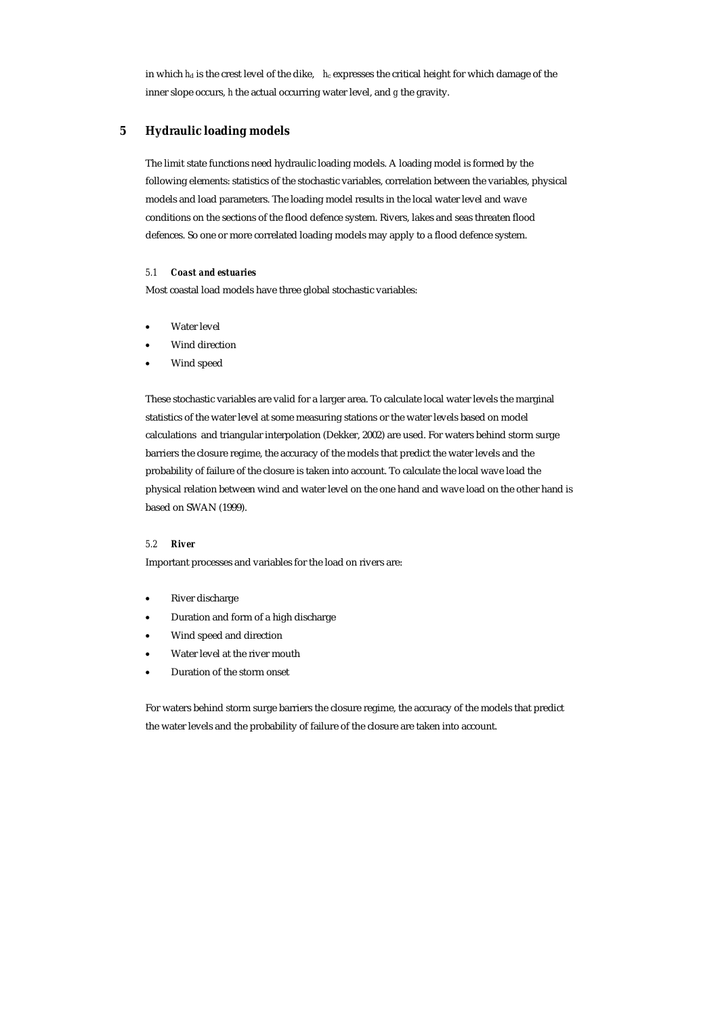in which  $h_d$  is the crest level of the dike,  $h_c$  expresses the critical height for which damage of the inner slope occurs, *h* the actual occurring water level, and *g* the gravity.

# **5 Hydraulic loading models**

The limit state functions need hydraulic loading models. A loading model is formed by the following elements: statistics of the stochastic variables, correlation between the variables, physical models and load parameters. The loading model results in the local water level and wave conditions on the sections of the flood defence system. Rivers, lakes and seas threaten flood defences. So one or more correlated loading models may apply to a flood defence system.

# *5.1 Coast and estuaries*

Most coastal load models have three global stochastic variables:

- Water level
- Wind direction
- Wind speed

These stochastic variables are valid for a larger area. To calculate local water levels the marginal statistics of the water level at some measuring stations or the water levels based on model calculations and triangular interpolation (Dekker, 2002) are used. For waters behind storm surge barriers the closure regime, the accuracy of the models that predict the water levels and the probability of failure of the closure is taken into account. To calculate the local wave load the physical relation between wind and water level on the one hand and wave load on the other hand is based on SWAN (1999).

## *5.2 River*

Important processes and variables for the load on rivers are:

- River discharge
- Duration and form of a high discharge
- Wind speed and direction
- Water level at the river mouth
- Duration of the storm onset

For waters behind storm surge barriers the closure regime, the accuracy of the models that predict the water levels and the probability of failure of the closure are taken into account.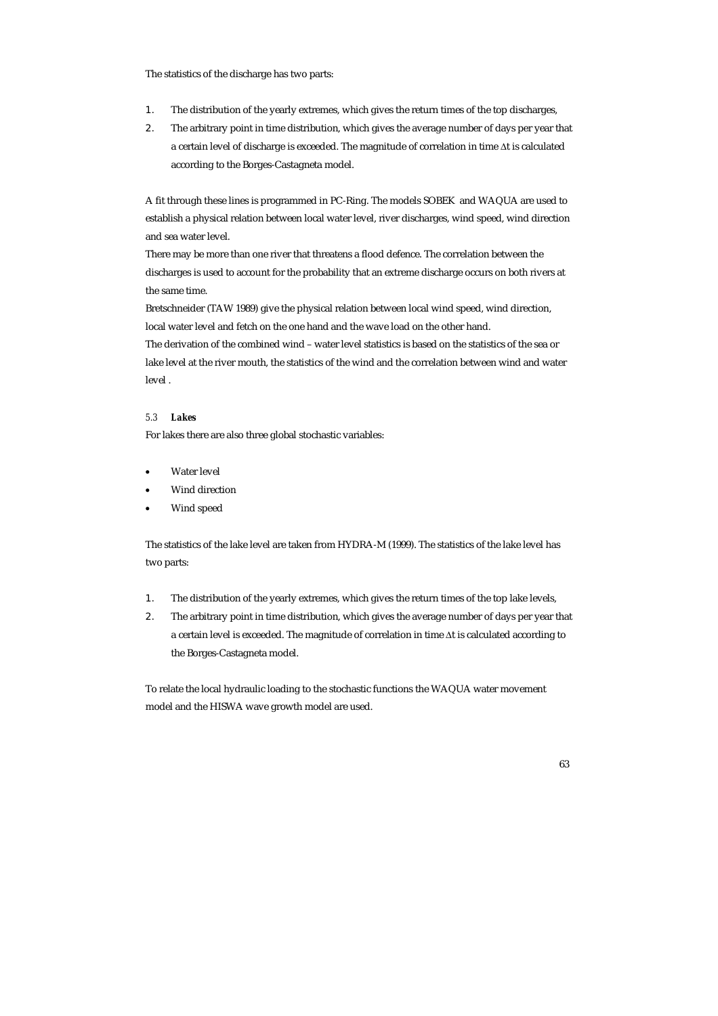The statistics of the discharge has two parts:

- 1. The distribution of the yearly extremes, which gives the return times of the top discharges,
- 2. The arbitrary point in time distribution, which gives the average number of days per year that a certain level of discharge is exceeded. The magnitude of correlation in time ∆t is calculated according to the Borges-Castagneta model.

A fit through these lines is programmed in PC-Ring. The models SOBEK and WAQUA are used to establish a physical relation between local water level, river discharges, wind speed, wind direction and sea water level.

There may be more than one river that threatens a flood defence. The correlation between the discharges is used to account for the probability that an extreme discharge occurs on both rivers at the same time.

Bretschneider (TAW 1989) give the physical relation between local wind speed, wind direction, local water level and fetch on the one hand and the wave load on the other hand.

The derivation of the combined wind – water level statistics is based on the statistics of the sea or lake level at the river mouth, the statistics of the wind and the correlation between wind and water level .

## *5.3 Lakes*

For lakes there are also three global stochastic variables:

- Water level
- Wind direction
- Wind speed

The statistics of the lake level are taken from HYDRA-M (1999). The statistics of the lake level has two parts:

- 1. The distribution of the yearly extremes, which gives the return times of the top lake levels,
- 2. The arbitrary point in time distribution, which gives the average number of days per year that a certain level is exceeded. The magnitude of correlation in time ∆t is calculated according to the Borges-Castagneta model.

To relate the local hydraulic loading to the stochastic functions the WAQUA water movement model and the HISWA wave growth model are used.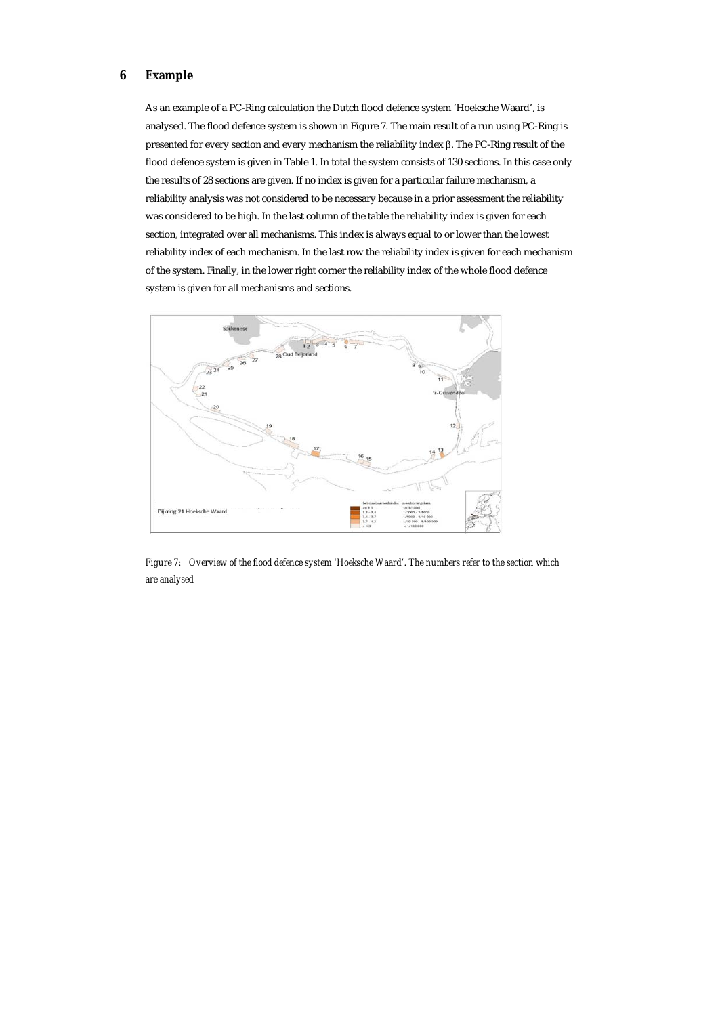# **6 Example**

As an example of a PC-Ring calculation the Dutch flood defence system 'Hoeksche Waard', is analysed. The flood defence system is shown in Figure 7. The main result of a run using PC-Ring is presented for every section and every mechanism the reliability index β. The PC-Ring result of the flood defence system is given in Table 1. In total the system consists of 130 sections. In this case only the results of 28 sections are given. If no index is given for a particular failure mechanism, a reliability analysis was not considered to be necessary because in a prior assessment the reliability was considered to be high. In the last column of the table the reliability index is given for each section, integrated over all mechanisms. This index is always equal to or lower than the lowest reliability index of each mechanism. In the last row the reliability index is given for each mechanism of the system. Finally, in the lower right corner the reliability index of the whole flood defence system is given for all mechanisms and sections.



*Figure 7: Overview of the flood defence system 'Hoeksche Waard'. The numbers refer to the section which are analysed*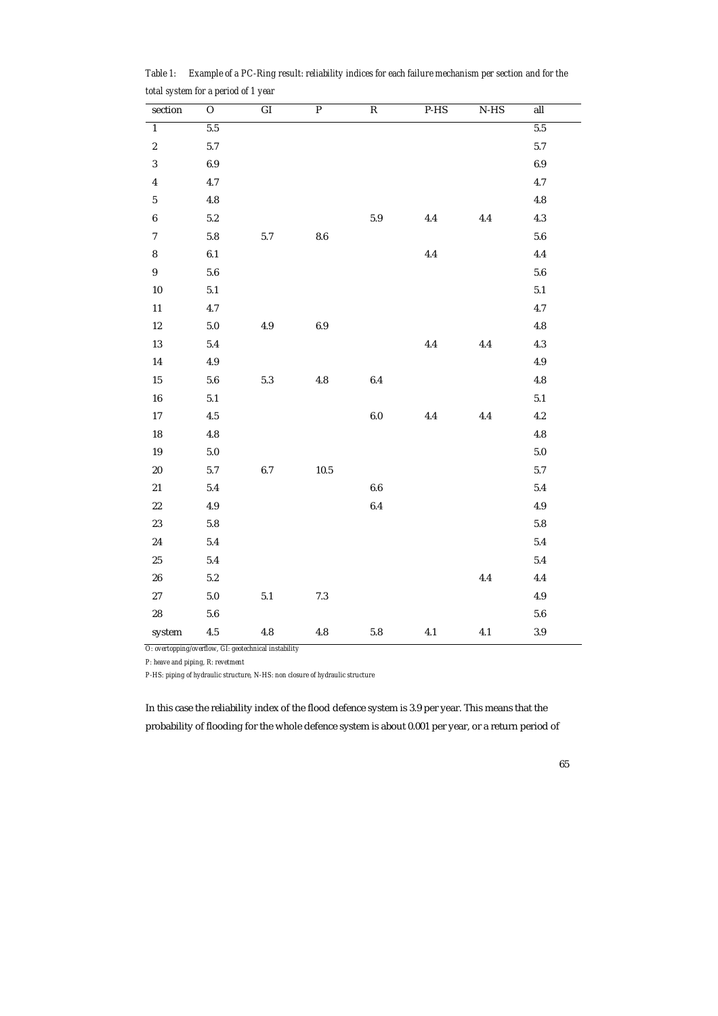| $\ddot{\phantom{0}}$    | $\overline{\phantom{a}}$ |                    |                |                         |         |        |           |  |
|-------------------------|--------------------------|--------------------|----------------|-------------------------|---------|--------|-----------|--|
| section                 | $\overline{O}$           | $\overline{GI}$    | $\overline{P}$ | $\overline{\mathbf{R}}$ | $P-HS$  | $N-HS$ | all       |  |
| $\overline{1}$          | $5.5\,$                  |                    |                |                         |         |        | $5.5\,$   |  |
| $\boldsymbol{2}$        | 5.7                      |                    |                |                         |         |        | 5.7       |  |
| $\boldsymbol{3}$        | $\boldsymbol{6.9}$       |                    |                |                         |         |        | $6.9\,$   |  |
| $\overline{\mathbf{4}}$ | 4.7                      |                    |                |                         |         |        | 4.7       |  |
| $\bf 5$                 | $\bf 4.8$                |                    |                |                         |         |        | 4.8       |  |
| $\boldsymbol{6}$        | $5.2\,$                  |                    |                | $5.9\,$                 | $4.4\,$ | 4.4    | 4.3       |  |
| $\boldsymbol{7}$        | $5.8\,$                  | 5.7                | $\bf 8.6$      |                         |         |        | $5.6\,$   |  |
| ${\bf 8}$               | 6.1                      |                    |                |                         | $4.4\,$ |        | 4.4       |  |
| $\boldsymbol{9}$        | $5.6\,$                  |                    |                |                         |         |        | $5.6\,$   |  |
| $10\,$                  | $5.1\,$                  |                    |                |                         |         |        | $5.1\,$   |  |
| $11\,$                  | $4.7\,$                  |                    |                |                         |         |        | $4.7\,$   |  |
| $12\,$                  | $5.0\,$                  | $4.9\,$            | $6.9\,$        |                         |         |        | 4.8       |  |
| $13\,$                  | $5.4\,$                  |                    |                |                         | 4.4     | 4.4    | 4.3       |  |
| ${\bf 14}$              | $4.9\,$                  |                    |                |                         |         |        | $4.9\,$   |  |
| $15\,$                  | $\bf 5.6$                | $5.3\,$            | $\bf 4.8$      | 6.4                     |         |        | $\bf 4.8$ |  |
| ${\bf 16}$              | $5.1\,$                  |                    |                |                         |         |        | $5.1\,$   |  |
| $17\,$                  | $4.5\,$                  |                    |                | 6.0                     | $4.4\,$ | 4.4    | 4.2       |  |
| ${\bf 18}$              | $\bf 4.8$                |                    |                |                         |         |        | $\bf 4.8$ |  |
| ${\bf 19}$              | $5.0\,$                  |                    |                |                         |         |        | $5.0\,$   |  |
| ${\bf 20}$              | $5.7\,$                  | $\boldsymbol{6.7}$ | $10.5\,$       |                         |         |        | 5.7       |  |
| $\bf 21$                | $5.4\,$                  |                    |                | $\bf 6.6$               |         |        | 5.4       |  |
| $22\,$                  | $4.9\,$                  |                    |                | 6.4                     |         |        | $4.9\,$   |  |
| $\bf 23$                | $\bf 5.8$                |                    |                |                         |         |        | $5.8\,$   |  |
| $\bf 24$                | $5.4\,$                  |                    |                |                         |         |        | 5.4       |  |
| $25\,$                  | $5.4\,$                  |                    |                |                         |         |        | 5.4       |  |
| ${\bf 26}$              | $5.2\,$                  |                    |                |                         |         | 4.4    | $4.4\,$   |  |
| $\sqrt{27}$             | $5.0\,$                  | $5.1\,$            | $7.3\,$        |                         |         |        | $4.9\,$   |  |
| ${\bf 28}$              | $\bf 5.6$                |                    |                |                         |         |        | $\bf 5.6$ |  |
| system                  | $4.5\,$                  | $\bf 4.8$          | $\bf 4.8$      | $5.8\,$                 | $4.1\,$ | 4.1    | $3.9\,$   |  |

*Table 1: Example of a PC-Ring result: reliability indices for each failure mechanism per section and for the total system for a period of 1 year* 

*O: overtopping/overflow, GI: geotechnical instability* 

*P: heave and piping, R: revetment* 

*P-HS: piping of hydraulic structure, N-HS: non closure of hydraulic structure* 

In this case the reliability index of the flood defence system is 3.9 per year. This means that the probability of flooding for the whole defence system is about 0.001 per year, or a return period of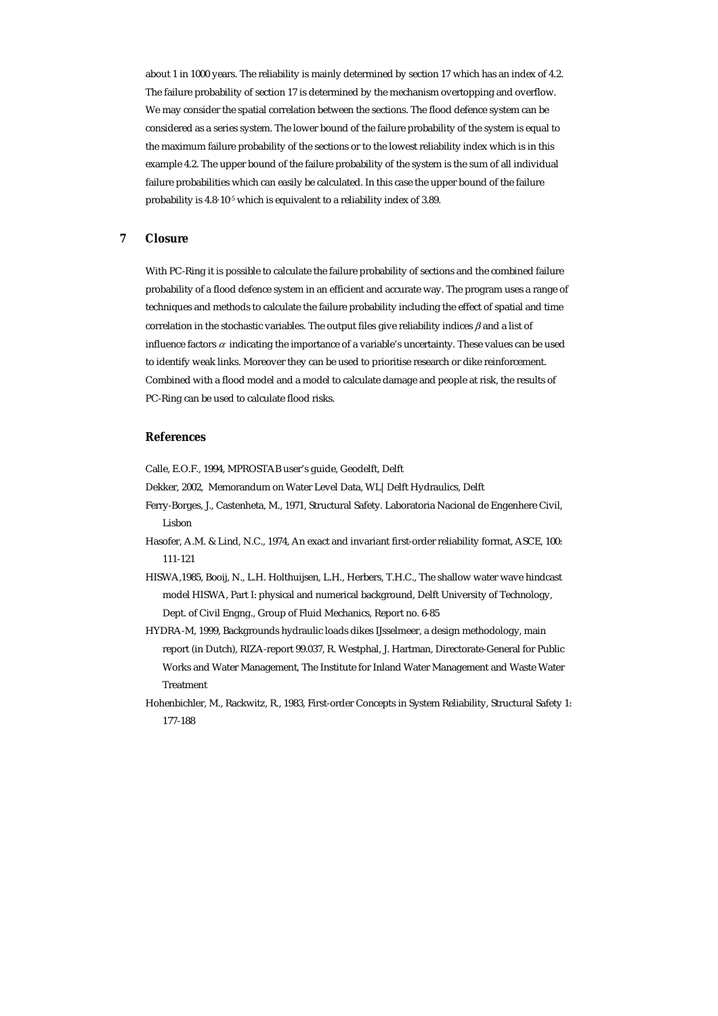about 1 in 1000 years. The reliability is mainly determined by section 17 which has an index of 4.2. The failure probability of section 17 is determined by the mechanism overtopping and overflow. We may consider the spatial correlation between the sections. The flood defence system can be considered as a series system. The lower bound of the failure probability of the system is equal to the maximum failure probability of the sections or to the lowest reliability index which is in this example 4.2. The upper bound of the failure probability of the system is the sum of all individual failure probabilities which can easily be calculated. In this case the upper bound of the failure probability is 4.8·10-5 which is equivalent to a reliability index of 3.89.

## **7 Closure**

With PC-Ring it is possible to calculate the failure probability of sections and the combined failure probability of a flood defence system in an efficient and accurate way. The program uses a range of techniques and methods to calculate the failure probability including the effect of spatial and time correlation in the stochastic variables. The output files give reliability indices  $\beta$  and a list of influence factors  $\alpha$  indicating the importance of a variable's uncertainty. These values can be used to identify weak links. Moreover they can be used to prioritise research or dike reinforcement. Combined with a flood model and a model to calculate damage and people at risk, the results of PC-Ring can be used to calculate flood risks.

## **References**

Calle, E.O.F., 1994, MPROSTAB user's guide, Geodelft, Delft

Dekker, 2002, Memorandum on Water Level Data, WL|Delft Hydraulics, Delft

- Ferry-Borges, J., Castenheta, M., 1971, Structural Safety. Laboratoria Nacional de Engenhere Civil, Lisbon
- Hasofer, A.M. & Lind, N.C., 1974, An exact and invariant first-order reliability format, ASCE, 100: 111-121
- HISWA,1985, Booij, N., L.H. Holthuijsen, L.H., Herbers, T.H.C., The shallow water wave hindcast model HISWA, Part I: physical and numerical background, Delft University of Technology, Dept. of Civil Engng., Group of Fluid Mechanics, Report no. 6-85
- HYDRA-M, 1999, Backgrounds hydraulic loads dikes IJsselmeer, a design methodology, main report (in Dutch), RIZA-report 99.037, R. Westphal, J. Hartman, Directorate-General for Public Works and Water Management, The Institute for Inland Water Management and Waste Water Treatment
- Hohenbichler, M., Rackwitz, R., 1983, First-order Concepts in System Reliability, Structural Safety 1: 177-188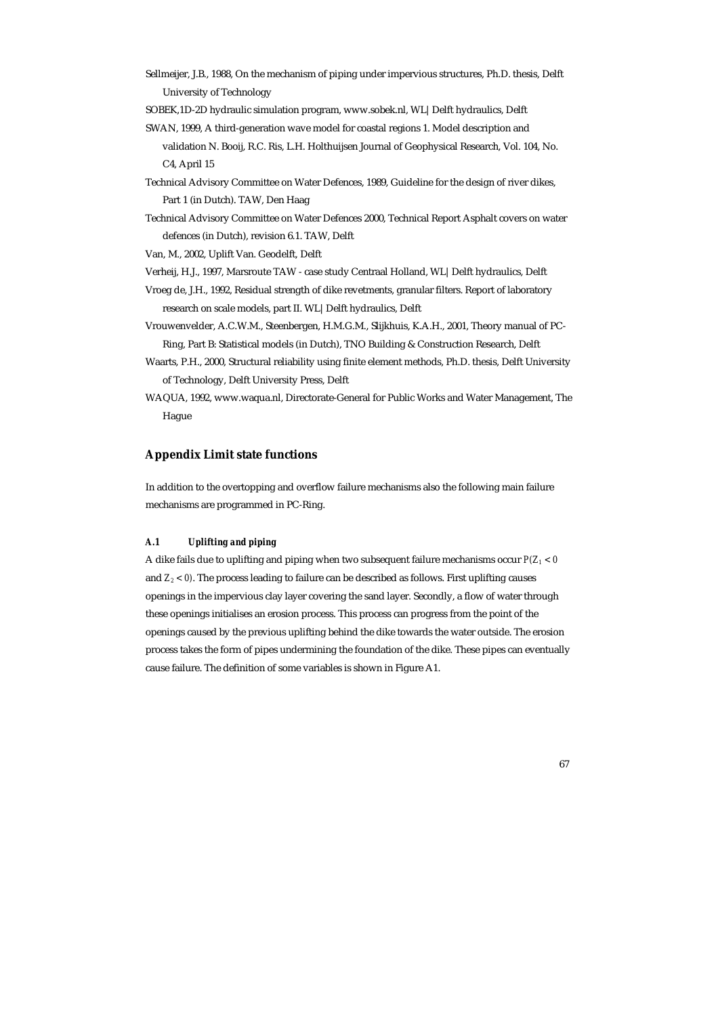Sellmeijer, J.B., 1988, On the mechanism of piping under impervious structures, Ph.D. thesis, Delft University of Technology

SOBEK,1D-2D hydraulic simulation program, www.sobek.nl, WL|Delft hydraulics, Delft

- SWAN, 1999, A third-generation wave model for coastal regions 1. Model description and
	- validation N. Booij, R.C. Ris, L.H. Holthuijsen Journal of Geophysical Research, Vol. 104, No. C4, April 15
- Technical Advisory Committee on Water Defences, 1989, Guideline for the design of river dikes, Part 1 (in Dutch). TAW, Den Haag
- Technical Advisory Committee on Water Defences 2000, Technical Report Asphalt covers on water defences (in Dutch), revision 6.1. TAW, Delft

Van, M., 2002, Uplift Van. Geodelft, Delft

Verheij, H.J., 1997, Marsroute TAW - case study Centraal Holland, WL|Delft hydraulics, Delft

- Vroeg de, J.H., 1992, Residual strength of dike revetments, granular filters. Report of laboratory research on scale models, part II. WL|Delft hydraulics, Delft
- Vrouwenvelder, A.C.W.M., Steenbergen, H.M.G.M., Slijkhuis, K.A.H., 2001, Theory manual of PC-Ring, Part B: Statistical models (in Dutch), TNO Building & Construction Research, Delft
- Waarts, P.H., 2000, Structural reliability using finite element methods, Ph.D. thesis, Delft University of Technology, Delft University Press, Delft
- WAQUA, 1992, www.waqua.nl, Directorate-General for Public Works and Water Management, The Hague

# **Appendix Limit state functions**

In addition to the overtopping and overflow failure mechanisms also the following main failure mechanisms are programmed in PC-Ring.

## *A.1 Uplifting and piping*

A dike fails due to uplifting and piping when two subsequent failure mechanisms occur *P(Z1 < 0*  and *Z2 < 0)*. The process leading to failure can be described as follows. First uplifting causes openings in the impervious clay layer covering the sand layer. Secondly, a flow of water through these openings initialises an erosion process. This process can progress from the point of the openings caused by the previous uplifting behind the dike towards the water outside. The erosion process takes the form of pipes undermining the foundation of the dike. These pipes can eventually cause failure. The definition of some variables is shown in Figure A1.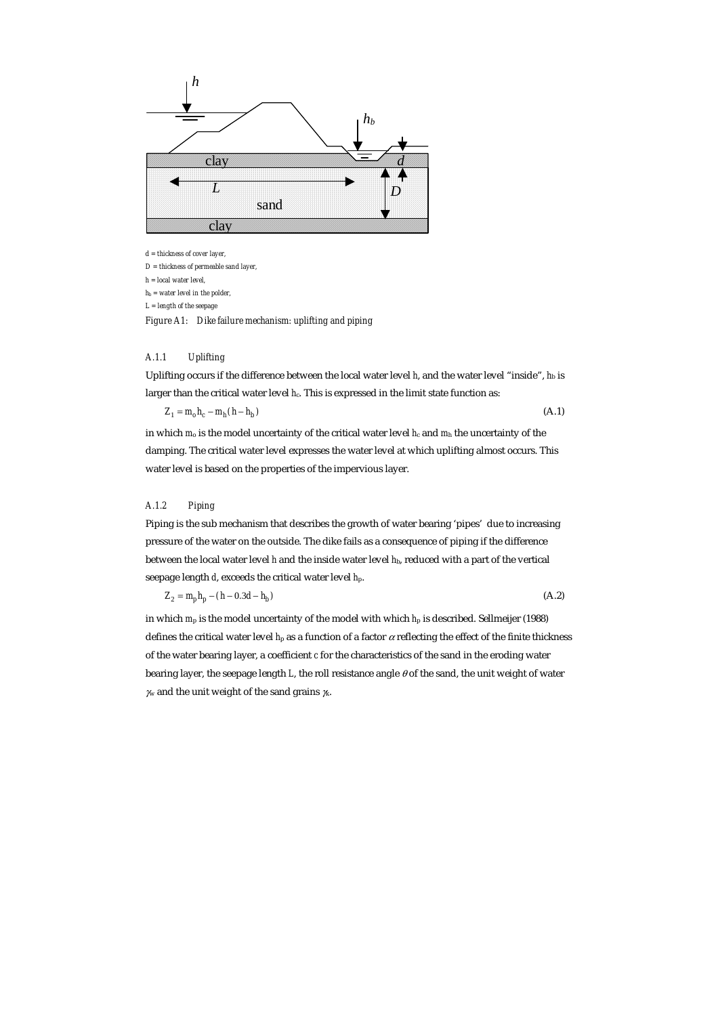

*d = thickness of cover layer,* 

*D = thickness of permeable sand layer,* 

*h = local water level,* 

*hb = water level in the polder,* 

*L = length of the seepage* 

*Figure A1: Dike failure mechanism: uplifting and piping* 

# *A.1.1 Uplifting*

Uplifting occurs if the difference between the local water level *h*, and the water level "inside", *h*b is larger than the critical water level *h*<sub>c</sub>. This is expressed in the limit state function as:

$$
Z_1 = m_o h_c - m_h (h - h_b) \tag{A.1}
$$

in which  $m_0$  is the model uncertainty of the critical water level  $h_c$  and  $m_h$  the uncertainty of the damping. The critical water level expresses the water level at which uplifting almost occurs. This water level is based on the properties of the impervious layer.

# *A.1.2 Piping*

Piping is the sub mechanism that describes the growth of water bearing 'pipes' due to increasing pressure of the water on the outside. The dike fails as a consequence of piping if the difference between the local water level *h* and the inside water level *h*b, reduced with a part of the vertical seepage length *d*, exceeds the critical water level *h*p.

$$
Z_2 = m_p h_p - (h - 0.3d - h_b)
$$
\n(A.2)

in which  $m_p$  is the model uncertainty of the model with which  $h_p$  is described. Sellmeijer (1988) defines the critical water level *h*p as a function of a factor α reflecting the effect of the finite thickness of the water bearing layer, a coefficient *c* for the characteristics of the sand in the eroding water bearing layer, the seepage length  $L$ , the roll resistance angle  $\theta$  of the sand, the unit weight of water  $\chi$  and the unit weight of the sand grains  $\chi$ .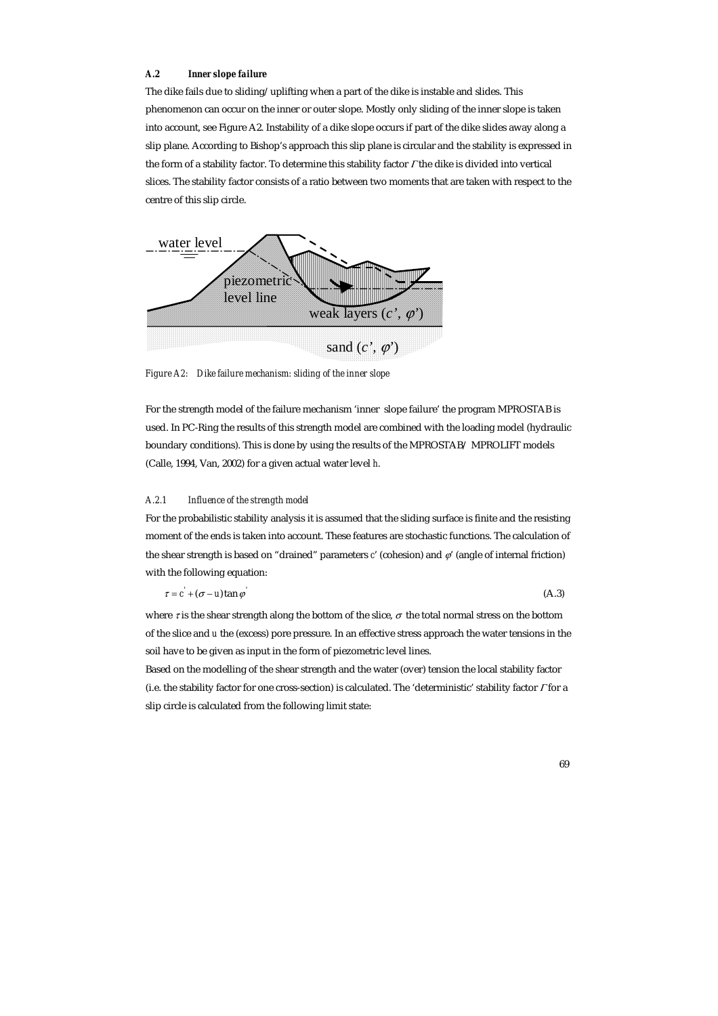## *A.2 Inner slope failure*

The dike fails due to sliding/uplifting when a part of the dike is instable and slides. This phenomenon can occur on the inner or outer slope. Mostly only sliding of the inner slope is taken into account, see Figure A2. Instability of a dike slope occurs if part of the dike slides away along a slip plane. According to Bishop's approach this slip plane is circular and the stability is expressed in the form of a stability factor. To determine this stability factor Γ the dike is divided into vertical slices. The stability factor consists of a ratio between two moments that are taken with respect to the centre of this slip circle.



*Figure A2: Dike failure mechanism: sliding of the inner slope* 

For the strength model of the failure mechanism 'inner slope failure' the program MPROSTAB is used. In PC-Ring the results of this strength model are combined with the loading model (hydraulic boundary conditions). This is done by using the results of the MPROSTAB/ MPROLIFT models (Calle, 1994, Van, 2002) for a given actual water level *h*.

#### *A.2.1 Influence of the strength model*

For the probabilistic stability analysis it is assumed that the sliding surface is finite and the resisting moment of the ends is taken into account. These features are stochastic functions. The calculation of the shear strength is based on "drained" parameters *c*' (cohesion) and ϕ' (angle of internal friction) with the following equation:

$$
\tau = c^{'} + (\sigma - u)\tan\varphi
$$
 (A.3)

where  $\tau$  is the shear strength along the bottom of the slice,  $\sigma$  the total normal stress on the bottom of the slice and *u* the (excess) pore pressure. In an effective stress approach the water tensions in the soil have to be given as input in the form of piezometric level lines.

Based on the modelling of the shear strength and the water (over) tension the local stability factor (i.e. the stability factor for one cross-section) is calculated. The 'deterministic' stability factor Γ for a slip circle is calculated from the following limit state: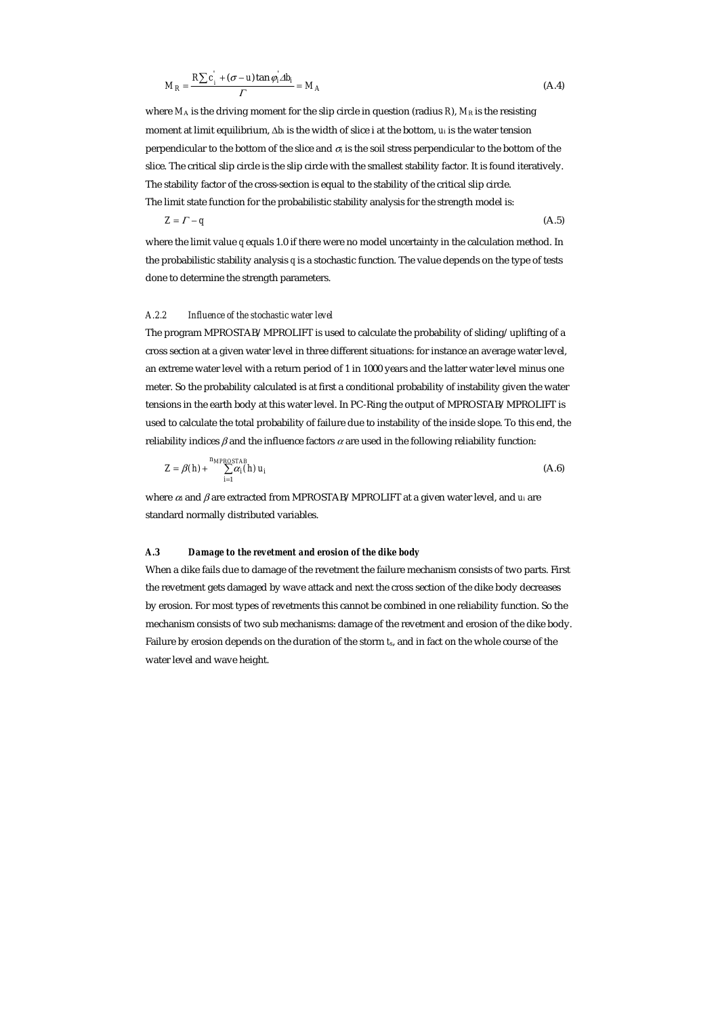$$
M_R = \frac{R\sum c_i + (\sigma - u)\tan\varphi_i \Delta b_i}{\Gamma} = M_A
$$
 (A.4)

where  $M_A$  is the driving moment for the slip circle in question (radius  $R$ ),  $M_R$  is the resisting moment at limit equilibrium, ∆*b*i is the width of slice i at the bottom, *u*i is the water tension perpendicular to the bottom of the slice and  $\sigma$  is the soil stress perpendicular to the bottom of the slice. The critical slip circle is the slip circle with the smallest stability factor. It is found iteratively. The stability factor of the cross-section is equal to the stability of the critical slip circle. The limit state function for the probabilistic stability analysis for the strength model is:

$$
Z = \Gamma - q \tag{A.5}
$$

where the limit value *q* equals 1.0 if there were no model uncertainty in the calculation method. In the probabilistic stability analysis *q* is a stochastic function. The value depends on the type of tests done to determine the strength parameters.

# *A.2.2 Influence of the stochastic water level*

The program MPROSTAB/MPROLIFT is used to calculate the probability of sliding/uplifting of a cross section at a given water level in three different situations: for instance an average water level, an extreme water level with a return period of 1 in 1000 years and the latter water level minus one meter. So the probability calculated is at first a conditional probability of instability given the water tensions in the earth body at this water level. In PC-Ring the output of MPROSTAB/MPROLIFT is used to calculate the total probability of failure due to instability of the inside slope. To this end, the reliability indices  $\beta$  and the influence factors  $\alpha$  are used in the following reliability function:

$$
Z = \beta(h) + \sum_{i=1}^{n_{MPROSTAB}} \alpha_i(h) u_i
$$
 (A.6)

where αi and β are extracted from MPROSTAB/MPROLIFT at a given water level, and *u*i are standard normally distributed variables.

## *A.3 Damage to the revetment and erosion of the dike body*

When a dike fails due to damage of the revetment the failure mechanism consists of two parts. First the revetment gets damaged by wave attack and next the cross section of the dike body decreases by erosion. For most types of revetments this cannot be combined in one reliability function. So the mechanism consists of two sub mechanisms: damage of the revetment and erosion of the dike body. Failure by erosion depends on the duration of the storm *t*s, and in fact on the whole course of the water level and wave height.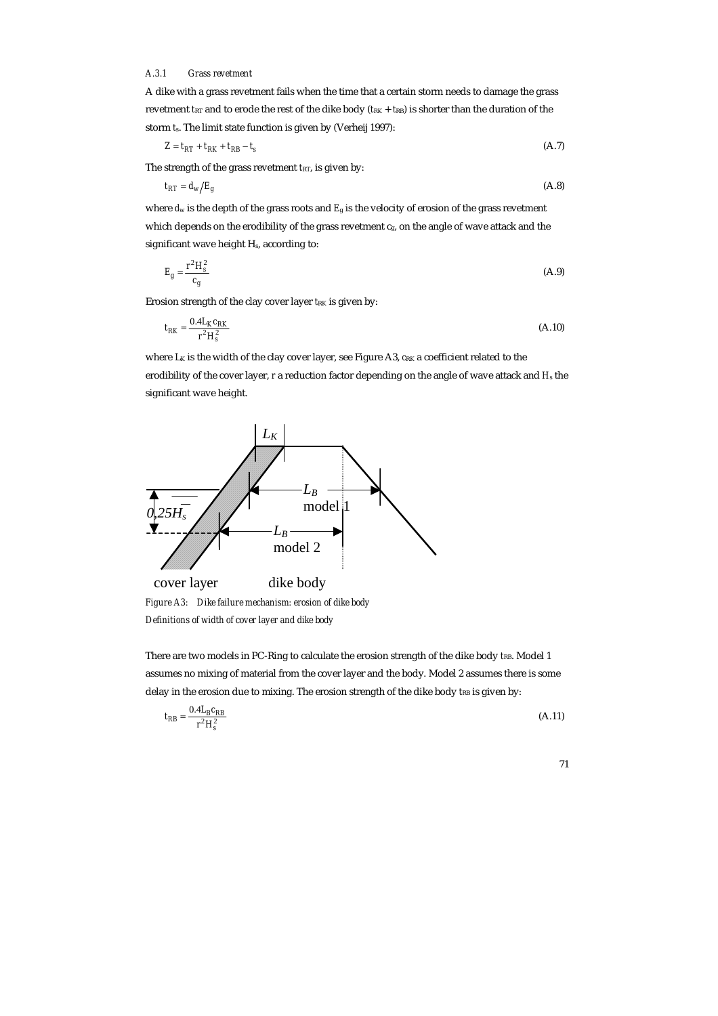# *A.3.1 Grass revetment*

A dike with a grass revetment fails when the time that a certain storm needs to damage the grass revetment  $t_{RT}$  and to erode the rest of the dike body ( $t_{RK} + t_{RB}$ ) is shorter than the duration of the storm *t*s. The limit state function is given by (Verheij 1997):

$$
Z = t_{RT} + t_{RK} + t_{RB} - t_s \tag{A.7}
$$

The strength of the grass revetment  $t_{\text{RT}}$ , is given by:

$$
t_{RT} = d_w/E_g \tag{A.8}
$$

where *d*w is the depth of the grass roots and *E*g is the velocity of erosion of the grass revetment which depends on the erodibility of the grass revetment  $c_{\rm g}$ , on the angle of wave attack and the significant wave height H<sub>s</sub>, according to:

$$
E_g = \frac{r^2 H_s^2}{c_g} \tag{A.9}
$$

Erosion strength of the clay cover layer *t*<sub>RK</sub> is given by:

$$
t_{RK} = \frac{0.4L_K c_{RK}}{r^2 H_s^2}
$$
 (A.10)

where L<sub>K</sub> is the width of the clay cover layer, see Figure A3,  $c_{RK}$  a coefficient related to the erodibility of the cover layer, *r* a reduction factor depending on the angle of wave attack and  $H<sub>s</sub>$  the significant wave height.



*Figure A3: Dike failure mechanism: erosion of dike body Definitions of width of cover layer and dike body* 

There are two models in PC-Ring to calculate the erosion strength of the dike body *tRB*. Model 1 assumes no mixing of material from the cover layer and the body. Model 2 assumes there is some delay in the erosion due to mixing. The erosion strength of the dike body  $t_{RB}$  is given by:

$$
t_{RB} = \frac{0.4L_B c_{RB}}{r^2 H_s^2}
$$
 (A.11)

$$
^{71}
$$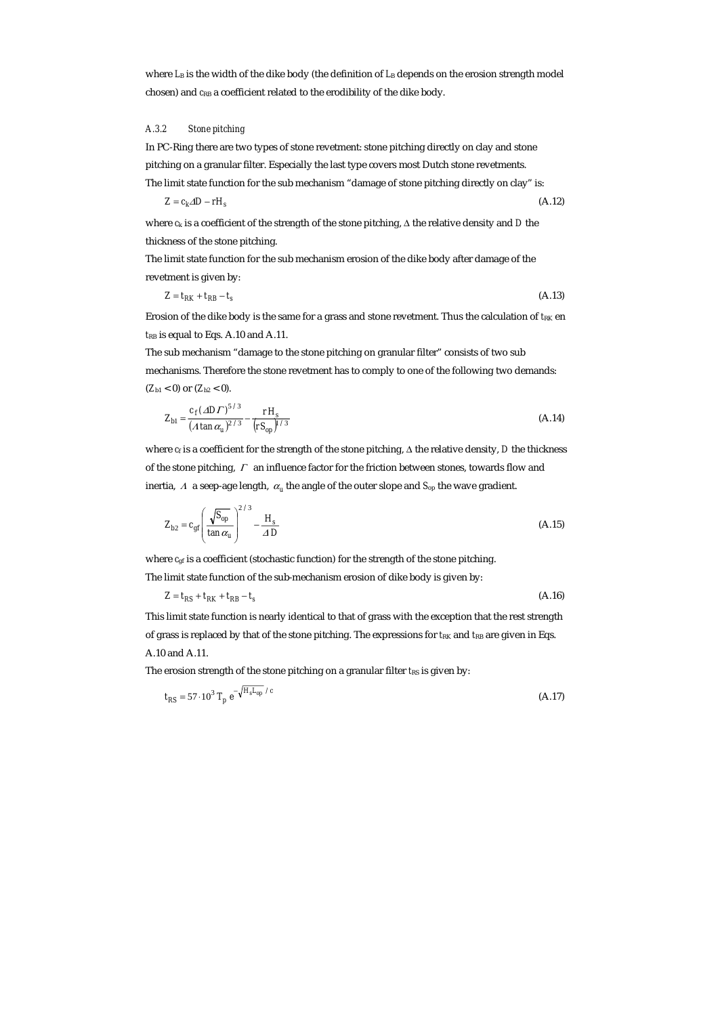where  $L_B$  is the width of the dike body (the definition of  $L_B$  depends on the erosion strength model chosen) and  $c_{RB}$  a coefficient related to the erodibility of the dike body.

# *A.3.2 Stone pitching*

In PC-Ring there are two types of stone revetment: stone pitching directly on clay and stone pitching on a granular filter. Especially the last type covers most Dutch stone revetments.

The limit state function for the sub mechanism "damage of stone pitching directly on clay" is:

$$
Z = c_k \Delta D - rH_s \tag{A.12}
$$

where *c*k is a coefficient of the strength of the stone pitching, ∆ the relative density and *D* the thickness of the stone pitching.

The limit state function for the sub mechanism erosion of the dike body after damage of the revetment is given by:

$$
Z = t_{RK} + t_{RB} - t_s \tag{A.13}
$$

Erosion of the dike body is the same for a grass and stone revetment. Thus the calculation of  $t_{RK}$  en *t*RB is equal to Eqs. A.10 and A.11.

The sub mechanism "damage to the stone pitching on granular filter" consists of two sub mechanisms. Therefore the stone revetment has to comply to one of the following two demands: (*Z*b1 < 0) or (*Z*b2 < 0).

$$
Z_{b1} = \frac{c_f (AD\Gamma)^{5/3}}{(A \tan \alpha_u)^{2/3}} - \frac{rH_s}{(rS_{op})^{1/3}}
$$
(A.14)

where  $c_f$  is a coefficient for the strength of the stone pitching,  $\Delta$  the relative density, *D* the thickness of the stone pitching, Γ an influence factor for the friction between stones, towards flow and inertia,  $\Lambda$  a seep-age length,  $\alpha_u$  the angle of the outer slope and  $S_{op}$  the wave gradient.

$$
Z_{b2} = c_{gf} \left( \frac{\sqrt{S_{op}}}{\tan \alpha_u} \right)^{2/3} - \frac{H_s}{\Delta D}
$$
 (A.15)

where  $c_{gf}$  is a coefficient (stochastic function) for the strength of the stone pitching.

The limit state function of the sub-mechanism erosion of dike body is given by:

$$
Z = t_{RS} + t_{RK} + t_{RB} - t_s \tag{A.16}
$$

This limit state function is nearly identical to that of grass with the exception that the rest strength of grass is replaced by that of the stone pitching. The expressions for  $t_{RK}$  and  $t_{RB}$  are given in Eqs. A.10 and A.11.

The erosion strength of the stone pitching on a granular filter *t*<sub>RS</sub> is given by:

$$
t_{RS} = 57 \cdot 10^3 \, T_p \, e^{-\sqrt{H_s L_{op}} / c} \tag{A.17}
$$